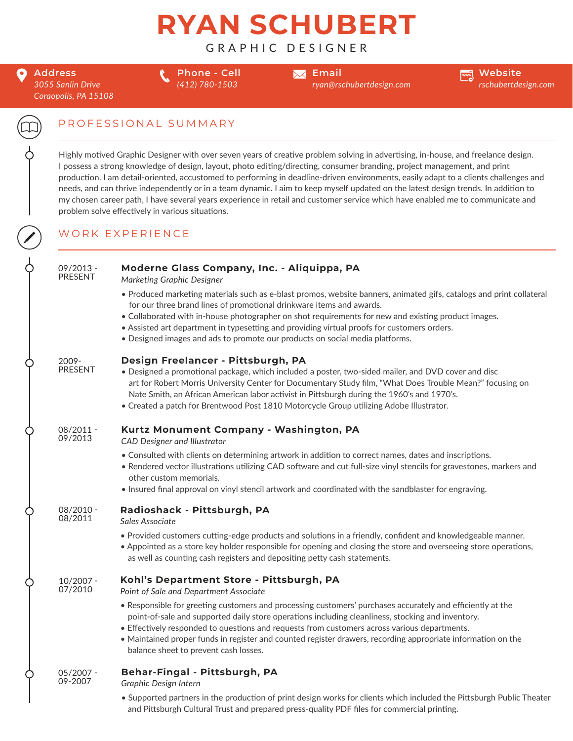# **RYAN SCHUBERT**

GRAPHIC DESIGNER

**Address** *3055 Sanlin Drive Coraopolis, PA 15108*

O

**Phone - Cell** *(412) 780-1503*

**Email** *ryan@rschubertdesign.com*

**Website** www. *rschubertdesign.com*

## PROFESSIONAL SUMMARY

Highly motived Graphic Designer with over seven years of creative problem solving in advertising, in-house, and freelance design. I possess a strong knowledge of design, layout, photo editing/directing, consumer branding, project management, and print production. I am detail-oriented, accustomed to performing in deadline-driven environments, easily adapt to a clients challenges and needs, and can thrive independently or in a team dynamic. I aim to keep myself updated on the latest design trends. In addition to my chosen career path, I have several years experience in retail and customer service which have enabled me to communicate and problem solve effectively in various situations.

### WORK EXPERIENCE

|  | 09/2013 -<br>PRESENT   | Moderne Glass Company, Inc. - Aliquippa, PA<br>Marketing Graphic Designer                                                                                                                                                                                                                                                                                                                                                                                                          |
|--|------------------------|------------------------------------------------------------------------------------------------------------------------------------------------------------------------------------------------------------------------------------------------------------------------------------------------------------------------------------------------------------------------------------------------------------------------------------------------------------------------------------|
|  |                        | • Produced marketing materials such as e-blast promos, website banners, animated gifs, catalogs and print collateral<br>for our three brand lines of promotional drinkware items and awards.<br>• Collaborated with in-house photographer on shot requirements for new and existing product images.<br>• Assisted art department in typesetting and providing virtual proofs for customers orders.<br>. Designed images and ads to promote our products on social media platforms. |
|  | 2009-<br>PRESENT       | Design Freelancer - Pittsburgh, PA<br>. Designed a promotional package, which included a poster, two-sided mailer, and DVD cover and disc<br>art for Robert Morris University Center for Documentary Study film, "What Does Trouble Mean?" focusing on<br>Nate Smith, an African American labor activist in Pittsburgh during the 1960's and 1970's.<br>• Created a patch for Brentwood Post 1810 Motorcycle Group utilizing Adobe Illustrator.                                    |
|  | $08/2011 -$<br>09/2013 | Kurtz Monument Company - Washington, PA<br><b>CAD Designer and Illustrator</b>                                                                                                                                                                                                                                                                                                                                                                                                     |
|  |                        | • Consulted with clients on determining artwork in addition to correct names, dates and inscriptions.<br>• Rendered vector illustrations utilizing CAD software and cut full-size vinyl stencils for gravestones, markers and<br>other custom memorials.<br>. Insured final approval on vinyl stencil artwork and coordinated with the sandblaster for engraving.                                                                                                                  |
|  | 08/2010 -<br>08/2011   | Radioshack - Pittsburgh, PA<br>Sales Associate                                                                                                                                                                                                                                                                                                                                                                                                                                     |
|  |                        | . Provided customers cutting-edge products and solutions in a friendly, confident and knowledgeable manner.<br>• Appointed as a store key holder responsible for opening and closing the store and overseeing store operations,<br>as well as counting cash registers and depositing petty cash statements.                                                                                                                                                                        |
|  | $10/2007 -$<br>07/2010 | Kohl's Department Store - Pittsburgh, PA<br>Point of Sale and Department Associate                                                                                                                                                                                                                                                                                                                                                                                                 |
|  |                        | . Responsible for greeting customers and processing customers' purchases accurately and efficiently at the<br>point-of-sale and supported daily store operations including cleanliness, stocking and inventory.<br>• Effectively responded to questions and requests from customers across various departments.<br>• Maintained proper funds in register and counted register drawers, recording appropriate information on the<br>balance sheet to prevent cash losses.           |
|  | 05/2007 -<br>09-2007   | Behar-Fingal - Pittsburgh, PA<br>Graphic Design Intern                                                                                                                                                                                                                                                                                                                                                                                                                             |
|  |                        | • Supported partners in the production of print design works for clients which included the Pittsburgh Public Theater<br>and Pittsburgh Cultural Trust and prepared press-quality PDF files for commercial printing.                                                                                                                                                                                                                                                               |